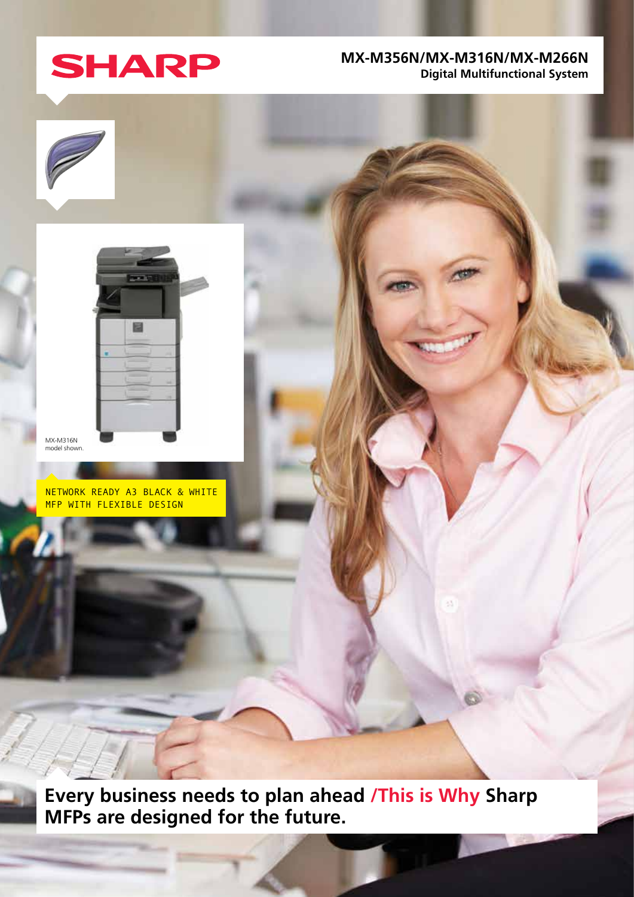

## **MX-M356N/MX-M316N/MX-M266N Digital Multifunctional System**





MX-M316N model shown.

NETWORK READY A3 BLACK & WHITE MFP WITH FLEXIBLE DESIGN

**Every business needs to plan ahead /This is Why Sharp MFPs are designed for the future.**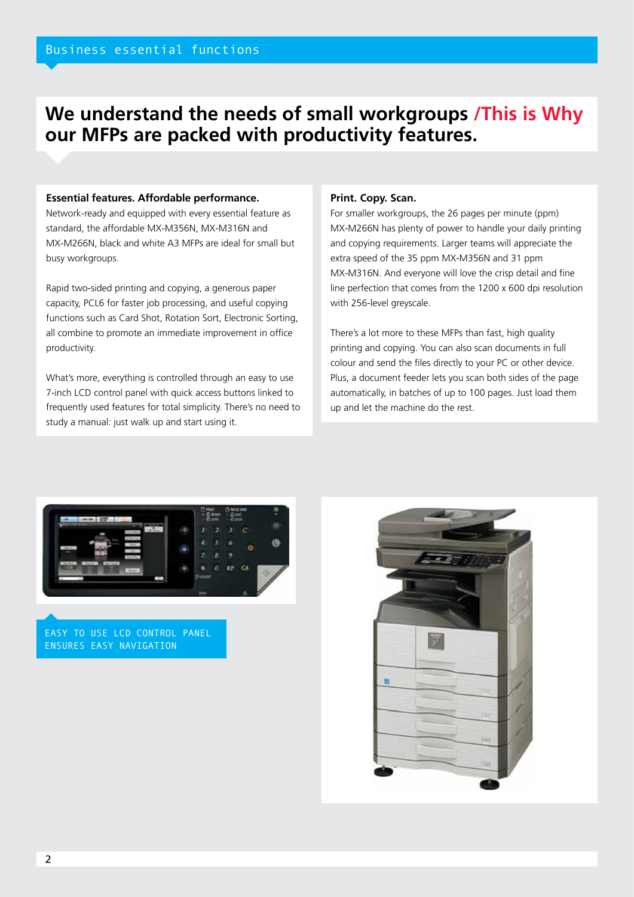# **We understand the needs of small workgroups /This is Why our MFPs are packed with productivity features.**

## **Essential features. Affordable performance.**

Network-ready and equipped with every essential feature as standard, the affordable MX-M356N, MX-M316N and MX-M266N, black and white A3 MFPs are ideal for small but busy workgroups.

Rapid two-sided printing and copying, a generous paper capacity, PCL6 for faster job processing, and useful copying functions such as Card Shot, Rotation Sort, Electronic Sorting, all combine to promote an immediate improvement in office productivity.

What's more, everything is controlled through an easy to use 7-inch LCD control panel with quick access buttons linked to frequently used features for total simplicity. There's no need to study a manual: just walk up and start using it.

## **Print. Copy. Scan.**

For smaller workgroups, the 26 pages per minute (ppm) MX-M266N has plenty of power to handle your daily printing and copying requirements. Larger teams will appreciate the extra speed of the 35 ppm MX-M356N and 31 ppm MX-M316N. And everyone will love the crisp detail and fine line perfection that comes from the 1200 x 600 dpi resolution with 256-level greyscale.

There's a lot more to these MFPs than fast, high quality printing and copying. You can also scan documents in full colour and send the files directly to your PC or other device. Plus, a document feeder lets you scan both sides of the page automatically, in batches of up to 100 pages. Just load them up and let the machine do the rest.



EASY TO USE LCD CONTROL PANEL ENSURES EASY NAVIGATION

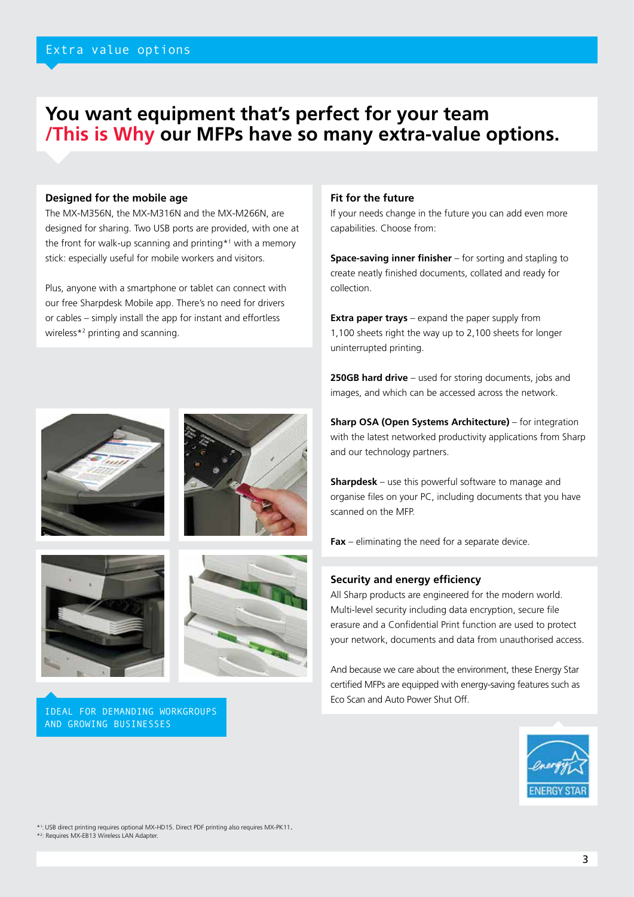# **You want equipment that's perfect for your team /This is Why our MFPs have so many extra-value options.**

## **Designed for the mobile age**

The MX-M356N, the MX-M316N and the MX-M266N, are designed for sharing. Two USB ports are provided, with one at the front for walk-up scanning and printing\*1 with a memory stick: especially useful for mobile workers and visitors.

Plus, anyone with a smartphone or tablet can connect with our free Sharpdesk Mobile app. There's no need for drivers or cables – simply install the app for instant and effortless wireless\*2 printing and scanning.





IDEAL FOR DEMANDING WORKGROUPS AND GROWING BUSINESSES

## **Fit for the future**

If your needs change in the future you can add even more capabilities. Choose from:

**Space-saving inner finisher** – for sorting and stapling to create neatly finished documents, collated and ready for collection.

**Extra paper trays** – expand the paper supply from 1,100 sheets right the way up to 2,100 sheets for longer uninterrupted printing.

**250GB hard drive** – used for storing documents, jobs and images, and which can be accessed across the network.

**Sharp OSA (Open Systems Architecture)** – for integration with the latest networked productivity applications from Sharp and our technology partners.

**Sharpdesk** – use this powerful software to manage and organise files on your PC, including documents that you have scanned on the MFP.

**Fax** – eliminating the need for a separate device.

## **Security and energy efficiency**

All Sharp products are engineered for the modern world. Multi-level security including data encryption, secure file erasure and a Confidential Print function are used to protect your network, documents and data from unauthorised access.

And because we care about the environment, these Energy Star certified MFPs are equipped with energy-saving features such as Eco Scan and Auto Power Shut Off.



\*1 :USB direct printing requires optional MX-HD15. Direct PDF printing also requires MX-PK11. \*2 : Requires MX-EB13 Wireless LAN Adapter.